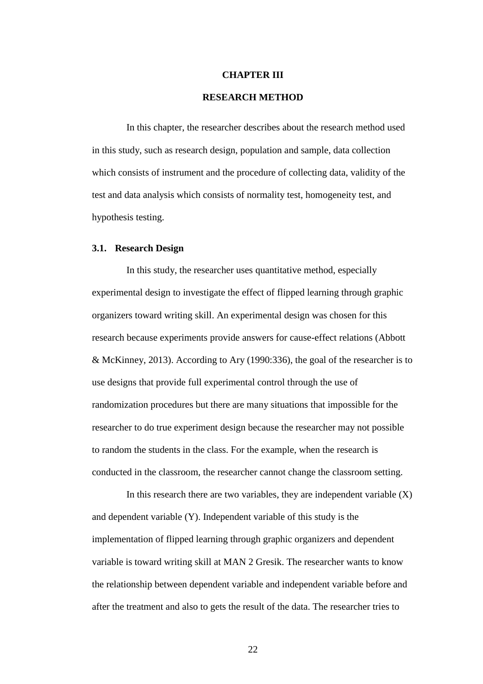#### **CHAPTER III**

# **RESEARCH METHOD**

In this chapter, the researcher describes about the research method used in this study, such as research design, population and sample, data collection which consists of instrument and the procedure of collecting data, validity of the test and data analysis which consists of normality test, homogeneity test, and hypothesis testing.

#### **3.1. Research Design**

In this study, the researcher uses quantitative method, especially experimental design to investigate the effect of flipped learning through graphic organizers toward writing skill. An experimental design was chosen for this research because experiments provide answers for cause-effect relations (Abbott & McKinney, 2013). According to Ary (1990:336), the goal of the researcher is to use designs that provide full experimental control through the use of randomization procedures but there are many situations that impossible for the researcher to do true experiment design because the researcher may not possible to random the students in the class. For the example, when the research is conducted in the classroom, the researcher cannot change the classroom setting.

In this research there are two variables, they are independent variable  $(X)$ and dependent variable (Y). Independent variable of this study is the implementation of flipped learning through graphic organizers and dependent variable is toward writing skill at MAN 2 Gresik. The researcher wants to know the relationship between dependent variable and independent variable before and after the treatment and also to gets the result of the data. The researcher tries to

22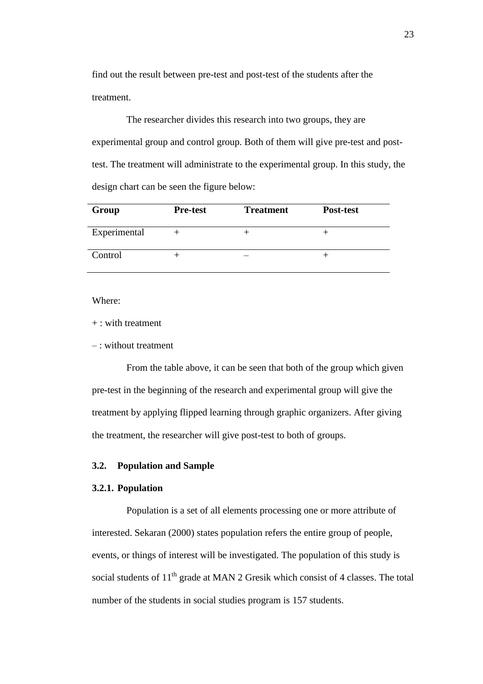find out the result between pre-test and post-test of the students after the treatment.

The researcher divides this research into two groups, they are experimental group and control group. Both of them will give pre-test and posttest. The treatment will administrate to the experimental group. In this study, the design chart can be seen the figure below:

| Group        | <b>Pre-test</b> | <b>Treatment</b> | Post-test |
|--------------|-----------------|------------------|-----------|
| Experimental |                 |                  |           |
| Control      |                 |                  |           |

Where:

+ : with treatment

– : without treatment

From the table above, it can be seen that both of the group which given pre-test in the beginning of the research and experimental group will give the treatment by applying flipped learning through graphic organizers. After giving the treatment, the researcher will give post-test to both of groups.

## **3.2. Population and Sample**

# **3.2.1. Population**

Population is a set of all elements processing one or more attribute of interested. Sekaran (2000) states population refers the entire group of people, events, or things of interest will be investigated. The population of this study is social students of 11<sup>th</sup> grade at MAN 2 Gresik which consist of 4 classes. The total number of the students in social studies program is 157 students.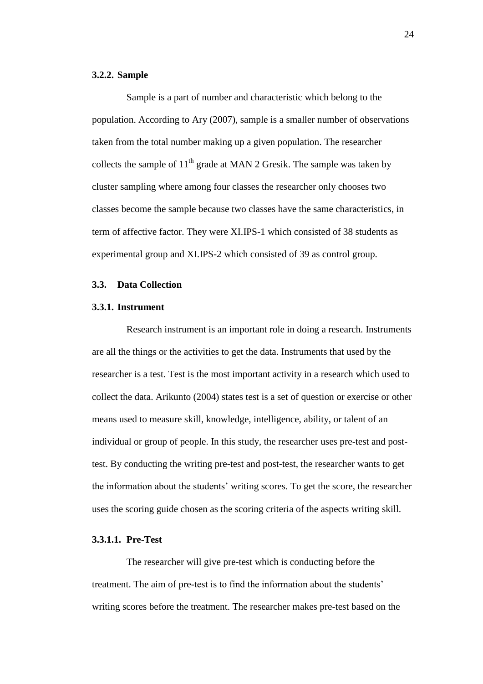### **3.2.2. Sample**

Sample is a part of number and characteristic which belong to the population. According to Ary (2007), sample is a smaller number of observations taken from the total number making up a given population. The researcher collects the sample of  $11<sup>th</sup>$  grade at MAN 2 Gresik. The sample was taken by cluster sampling where among four classes the researcher only chooses two classes become the sample because two classes have the same characteristics, in term of affective factor. They were XI.IPS-1 which consisted of 38 students as experimental group and XI.IPS-2 which consisted of 39 as control group.

### **3.3. Data Collection**

# **3.3.1. Instrument**

Research instrument is an important role in doing a research. Instruments are all the things or the activities to get the data. Instruments that used by the researcher is a test. Test is the most important activity in a research which used to collect the data. Arikunto (2004) states test is a set of question or exercise or other means used to measure skill, knowledge, intelligence, ability, or talent of an individual or group of people. In this study, the researcher uses pre-test and posttest. By conducting the writing pre-test and post-test, the researcher wants to get the information about the students' writing scores. To get the score, the researcher uses the scoring guide chosen as the scoring criteria of the aspects writing skill.

# **3.3.1.1. Pre-Test**

The researcher will give pre-test which is conducting before the treatment. The aim of pre-test is to find the information about the students' writing scores before the treatment. The researcher makes pre-test based on the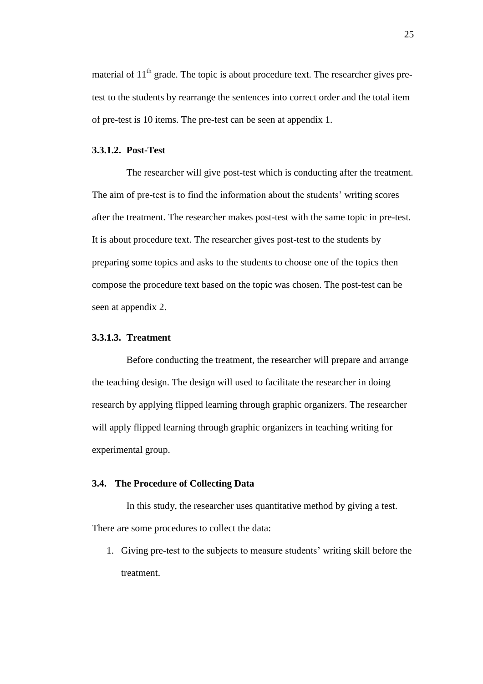material of  $11<sup>th</sup>$  grade. The topic is about procedure text. The researcher gives pretest to the students by rearrange the sentences into correct order and the total item of pre-test is 10 items. The pre-test can be seen at appendix 1.

# **3.3.1.2. Post-Test**

The researcher will give post-test which is conducting after the treatment. The aim of pre-test is to find the information about the students' writing scores after the treatment. The researcher makes post-test with the same topic in pre-test. It is about procedure text. The researcher gives post-test to the students by preparing some topics and asks to the students to choose one of the topics then compose the procedure text based on the topic was chosen. The post-test can be seen at appendix 2.

### **3.3.1.3. Treatment**

Before conducting the treatment, the researcher will prepare and arrange the teaching design. The design will used to facilitate the researcher in doing research by applying flipped learning through graphic organizers. The researcher will apply flipped learning through graphic organizers in teaching writing for experimental group.

### **3.4. The Procedure of Collecting Data**

In this study, the researcher uses quantitative method by giving a test. There are some procedures to collect the data:

1. Giving pre-test to the subjects to measure students' writing skill before the treatment.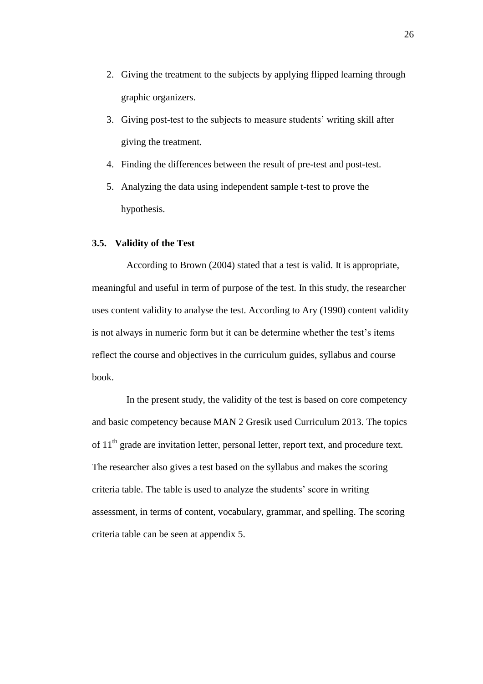- 2. Giving the treatment to the subjects by applying flipped learning through graphic organizers.
- 3. Giving post-test to the subjects to measure students' writing skill after giving the treatment.
- 4. Finding the differences between the result of pre-test and post-test.
- 5. Analyzing the data using independent sample t-test to prove the hypothesis.

### **3.5. Validity of the Test**

According to Brown (2004) stated that a test is valid. It is appropriate, meaningful and useful in term of purpose of the test. In this study, the researcher uses content validity to analyse the test. According to Ary (1990) content validity is not always in numeric form but it can be determine whether the test's items reflect the course and objectives in the curriculum guides, syllabus and course book.

In the present study, the validity of the test is based on core competency and basic competency because MAN 2 Gresik used Curriculum 2013. The topics of  $11<sup>th</sup>$  grade are invitation letter, personal letter, report text, and procedure text. The researcher also gives a test based on the syllabus and makes the scoring criteria table. The table is used to analyze the students' score in writing assessment, in terms of content, vocabulary, grammar, and spelling. The scoring criteria table can be seen at appendix 5.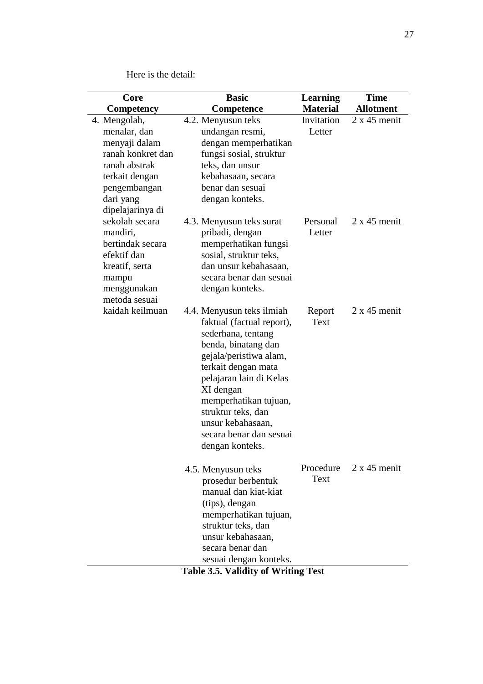Here is the detail:

| Core                                                                                                                                                   | <b>Basic</b>                                                                                                                                                                                                                                                                                                   | <b>Learning</b>       | <b>Time</b>         |
|--------------------------------------------------------------------------------------------------------------------------------------------------------|----------------------------------------------------------------------------------------------------------------------------------------------------------------------------------------------------------------------------------------------------------------------------------------------------------------|-----------------------|---------------------|
| <b>Competency</b>                                                                                                                                      | Competence                                                                                                                                                                                                                                                                                                     | <b>Material</b>       | <b>Allotment</b>    |
| 4. Mengolah,<br>menalar, dan<br>menyaji dalam<br>ranah konkret dan<br>ranah abstrak<br>terkait dengan<br>pengembangan<br>dari yang<br>dipelajarinya di | 4.2. Menyusun teks<br>undangan resmi,<br>dengan memperhatikan<br>fungsi sosial, struktur<br>teks, dan unsur<br>kebahasaan, secara<br>benar dan sesuai<br>dengan konteks.                                                                                                                                       | Invitation<br>Letter  | $2 \times 45$ menit |
| sekolah secara<br>mandiri,<br>bertindak secara<br>efektif dan<br>kreatif, serta<br>mampu<br>menggunakan<br>metoda sesuai                               | 4.3. Menyusun teks surat<br>pribadi, dengan<br>memperhatikan fungsi<br>sosial, struktur teks,<br>dan unsur kebahasaan,<br>secara benar dan sesuai<br>dengan konteks.                                                                                                                                           | Personal<br>Letter    | $2 \times 45$ menit |
| kaidah keilmuan                                                                                                                                        | 4.4. Menyusun teks ilmiah<br>faktual (factual report),<br>sederhana, tentang<br>benda, binatang dan<br>gejala/peristiwa alam,<br>terkait dengan mata<br>pelajaran lain di Kelas<br>XI dengan<br>memperhatikan tujuan,<br>struktur teks, dan<br>unsur kebahasaan,<br>secara benar dan sesuai<br>dengan konteks. | Report<br><b>Text</b> | $2 \times 45$ menit |
|                                                                                                                                                        | 4.5. Menyusun teks<br>prosedur berbentuk<br>manual dan kiat-kiat<br>(tips), dengan<br>memperhatikan tujuan,<br>struktur teks, dan<br>unsur kebahasaan.<br>secara benar dan<br>sesuai dengan konteks.                                                                                                           | Procedure<br>Text     | $2 \times 45$ menit |
|                                                                                                                                                        | <b>Table 3.5. Validity of Writing Test</b>                                                                                                                                                                                                                                                                     |                       |                     |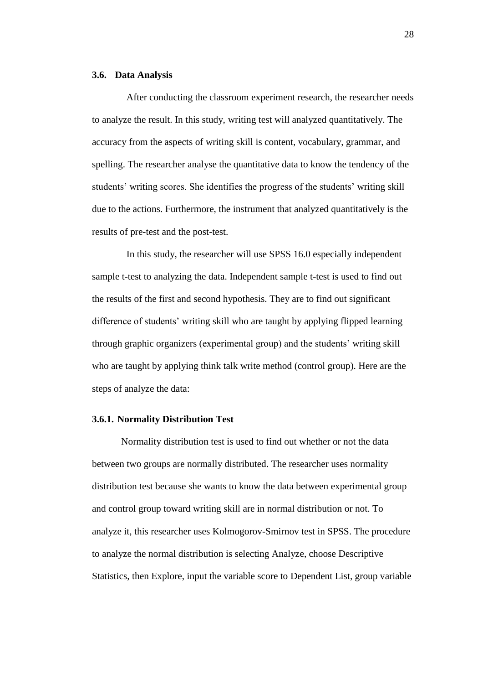### **3.6. Data Analysis**

After conducting the classroom experiment research, the researcher needs to analyze the result. In this study, writing test will analyzed quantitatively. The accuracy from the aspects of writing skill is content, vocabulary, grammar, and spelling. The researcher analyse the quantitative data to know the tendency of the students' writing scores. She identifies the progress of the students' writing skill due to the actions. Furthermore, the instrument that analyzed quantitatively is the results of pre-test and the post-test.

In this study, the researcher will use SPSS 16.0 especially independent sample t-test to analyzing the data. Independent sample t-test is used to find out the results of the first and second hypothesis. They are to find out significant difference of students' writing skill who are taught by applying flipped learning through graphic organizers (experimental group) and the students' writing skill who are taught by applying think talk write method (control group). Here are the steps of analyze the data:

#### **3.6.1. Normality Distribution Test**

Normality distribution test is used to find out whether or not the data between two groups are normally distributed. The researcher uses normality distribution test because she wants to know the data between experimental group and control group toward writing skill are in normal distribution or not. To analyze it, this researcher uses Kolmogorov-Smirnov test in SPSS. The procedure to analyze the normal distribution is selecting Analyze, choose Descriptive Statistics, then Explore, input the variable score to Dependent List, group variable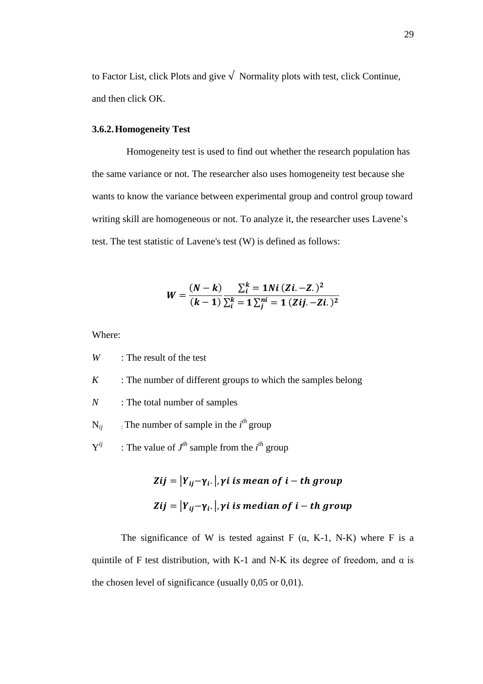to Factor List, click Plots and give  $\sqrt{\ }$  Normality plots with test, click Continue, and then click OK.

### **3.6.2.Homogeneity Test**

Homogeneity test is used to find out whether the research population has the same variance or not. The researcher also uses homogeneity test because she wants to know the variance between experimental group and control group toward writing skill are homogeneous or not. To analyze it, the researcher uses Lavene's test. The test statistic of Lavene's test (W) is defined as follows:

$$
W = \frac{(N-k)}{(k-1)} \frac{\sum_{i=1}^{k} N i (Zi. - Z.)^{2}}{\sum_{i=1}^{k} \sum_{j=1}^{n} (Zij. - Zi.)^{2}}
$$

Where:

*W* : The result of the test

*K* : The number of different groups to which the samples belong

*N* : The total number of samples

 $N_{ij}$  The number of sample in the  $i^{th}$  group

 $\mathbf{Y}^{ij}$ *i* : The value of  $J<sup>th</sup>$  sample from the *i*<sup>th</sup> group

> $Zij = |Y_{ij}-\gamma_i|,$  $Zij = |Y_{ij}-\gamma_i|,$

The significance of W is tested against F  $(\alpha, K-1, N-K)$  where F is a quintile of F test distribution, with K-1 and N-K its degree of freedom, and  $\alpha$  is the chosen level of significance (usually 0,05 or 0,01).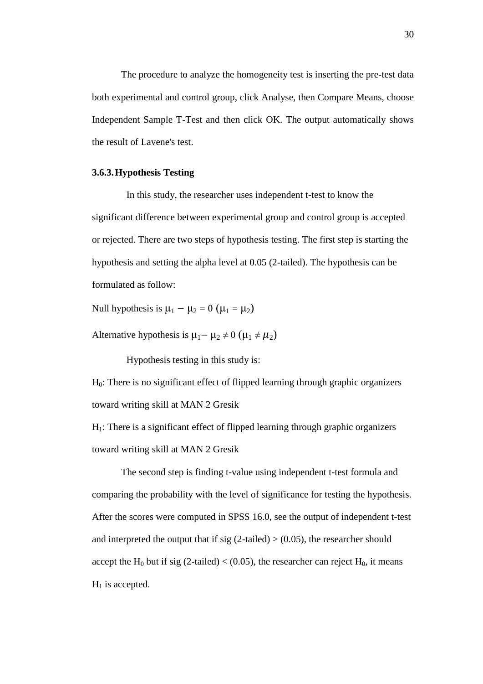The procedure to analyze the homogeneity test is inserting the pre-test data both experimental and control group, click Analyse, then Compare Means, choose Independent Sample T-Test and then click OK. The output automatically shows the result of Lavene's test.

# **3.6.3.Hypothesis Testing**

In this study, the researcher uses independent t-test to know the significant difference between experimental group and control group is accepted or rejected. There are two steps of hypothesis testing. The first step is starting the hypothesis and setting the alpha level at 0.05 (2-tailed). The hypothesis can be formulated as follow:

Null hypothesis is  $\mu_1 - \mu_2 = 0$  ( $\mu_1 = \mu_2$ )

Alternative hypothesis is  $\mu_1 - \mu_2 \neq 0$  ( $\mu_1 \neq \mu_2$ )

Hypothesis testing in this study is:

H0: There is no significant effect of flipped learning through graphic organizers toward writing skill at MAN 2 Gresik

H1: There is a significant effect of flipped learning through graphic organizers toward writing skill at MAN 2 Gresik

The second step is finding t-value using independent t-test formula and comparing the probability with the level of significance for testing the hypothesis. After the scores were computed in SPSS 16.0, see the output of independent t-test and interpreted the output that if sig  $(2$ -tailed)  $>(0.05)$ , the researcher should accept the H<sub>0</sub> but if sig (2-tailed) < (0.05), the researcher can reject H<sub>0</sub>, it means  $H_1$  is accepted.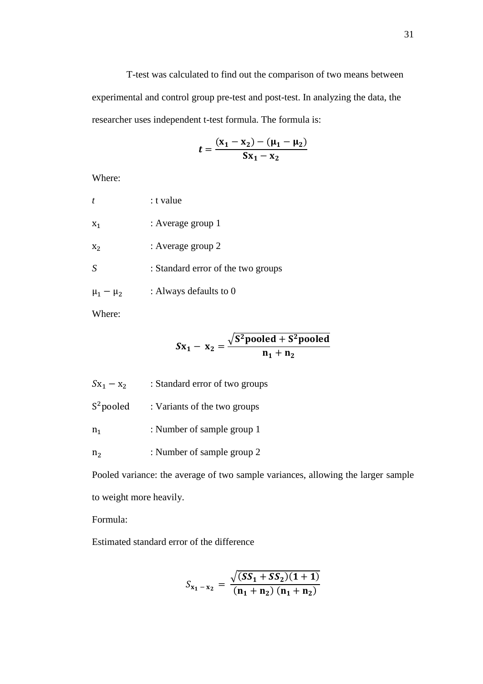T-test was calculated to find out the comparison of two means between experimental and control group pre-test and post-test. In analyzing the data, the researcher uses independent t-test formula. The formula is:

$$
t = \frac{(x_1 - x_2) - (\mu_1 - \mu_2)}{Sx_1 - x_2}
$$

Where:

|       | : t value         |
|-------|-------------------|
| $X_1$ | : Average group 1 |
| $X_2$ | : Average group 2 |

- *S* : Standard error of the two groups
- $\mu_1 \mu_2$  : Always defaults to 0

Where:

$$
Sx_1 - x_2 = \frac{\sqrt{S^2 \text{pooled} + S^2 \text{pooled}}}{n_1 + n_2}
$$

- $Sx_1 x_2$  : Standard error of two groups
- $S<sup>2</sup>$  pooled : Variants of the two groups
- : Number of sample group 1
- : Number of sample group 2

Pooled variance: the average of two sample variances, allowing the larger sample to weight more heavily.

Formula:

Estimated standard error of the difference

$$
S_{x_1 - x_2} = \frac{\sqrt{(SS_1 + SS_2)(1 + 1)}}{(n_1 + n_2) (n_1 + n_2)}
$$